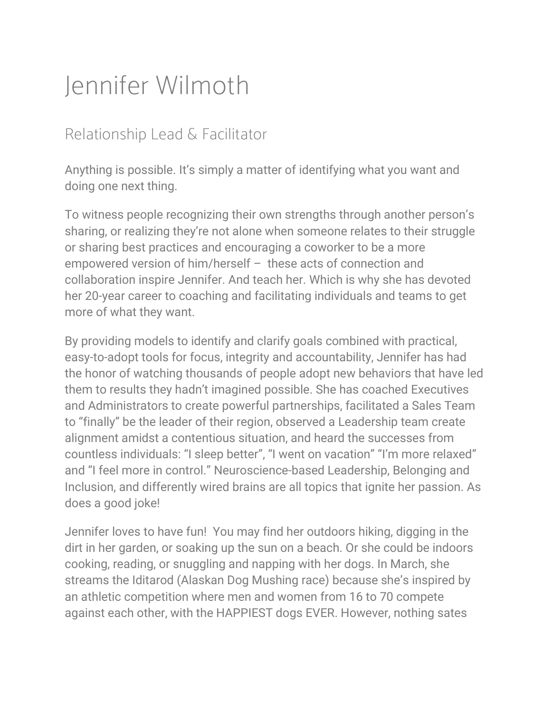## Jennifer Wilmoth

## Relationship Lead & Facilitator

Anything is possible. It's simply a matter of identifying what you want and doing one next thing.

To witness people recognizing their own strengths through another person's sharing, or realizing they're not alone when someone relates to their struggle or sharing best practices and encouraging a coworker to be a more empowered version of him/herself – these acts of connection and collaboration inspire Jennifer. And teach her. Which is why she has devoted her 20-year career to coaching and facilitating individuals and teams to get more of what they want.

By providing models to identify and clarify goals combined with practical, easy-to-adopt tools for focus, integrity and accountability, Jennifer has had the honor of watching thousands of people adopt new behaviors that have led them to results they hadn't imagined possible. She has coached Executives and Administrators to create powerful partnerships, facilitated a Sales Team to "finally" be the leader of their region, observed a Leadership team create alignment amidst a contentious situation, and heard the successes from countless individuals: "I sleep better", "I went on vacation" "I'm more relaxed" and "I feel more in control." Neuroscience-based Leadership, Belonging and Inclusion, and differently wired brains are all topics that ignite her passion. As does a good joke!

Jennifer loves to have fun! You may find her outdoors hiking, digging in the dirt in her garden, or soaking up the sun on a beach. Or she could be indoors cooking, reading, or snuggling and napping with her dogs. In March, she streams the Iditarod (Alaskan Dog Mushing race) because she's inspired by an athletic competition where men and women from 16 to 70 compete against each other, with the HAPPIEST dogs EVER. However, nothing sates